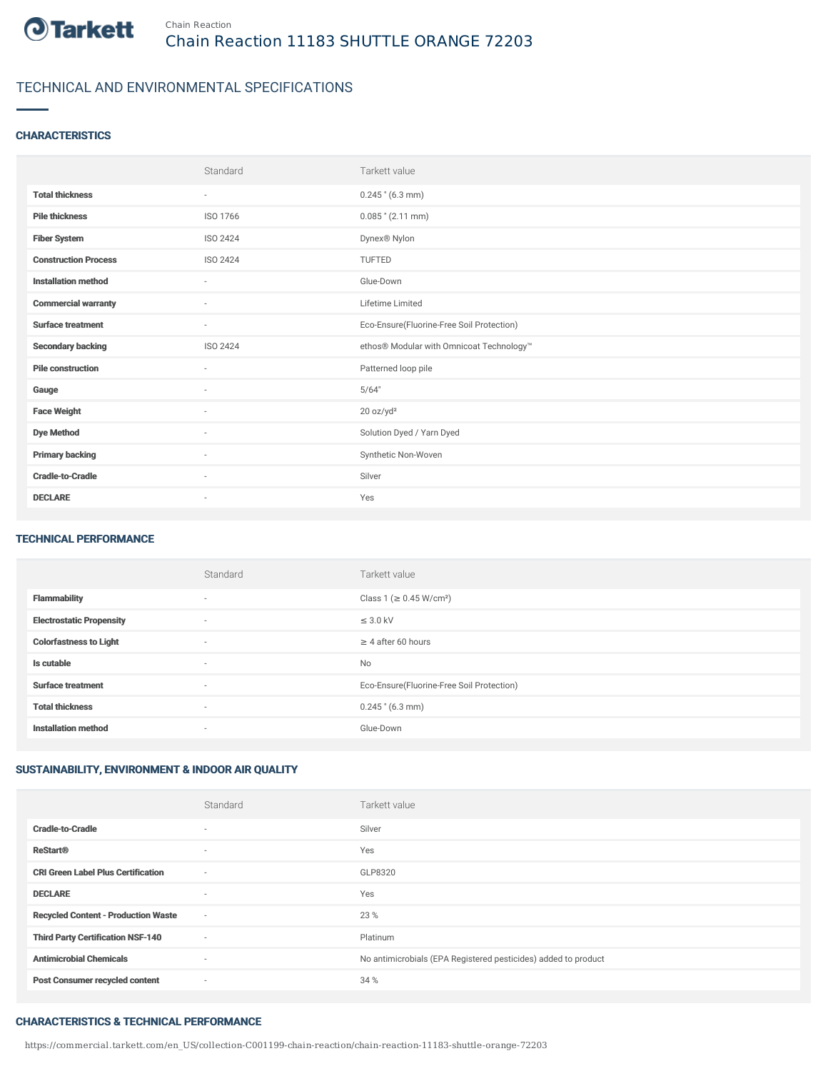

# TECHNICAL AND ENVIRONMENTAL SPECIFICATIONS

### **CHARACTERISTICS**

|                             | Standard                 | Tarkett value                             |
|-----------------------------|--------------------------|-------------------------------------------|
| <b>Total thickness</b>      | $\sim$                   | $0.245$ " (6.3 mm)                        |
| <b>Pile thickness</b>       | ISO 1766                 | $0.085$ " (2.11 mm)                       |
| <b>Fiber System</b>         | ISO 2424                 | Dynex® Nylon                              |
| <b>Construction Process</b> | ISO 2424                 | TUFTED                                    |
| <b>Installation method</b>  | $\sim$                   | Glue-Down                                 |
| <b>Commercial warranty</b>  | $\sim$                   | Lifetime Limited                          |
| <b>Surface treatment</b>    | $\sim$                   | Eco-Ensure(Fluorine-Free Soil Protection) |
| <b>Secondary backing</b>    | ISO 2424                 | ethos® Modular with Omnicoat Technology™  |
| <b>Pile construction</b>    | $\sim$                   | Patterned loop pile                       |
| Gauge                       | ٠                        | 5/64"                                     |
| <b>Face Weight</b>          | $\overline{\phantom{a}}$ | 20 oz/yd <sup>2</sup>                     |
| <b>Dye Method</b>           | $\sim$                   | Solution Dyed / Yarn Dyed                 |
| <b>Primary backing</b>      | $\sim$                   | Synthetic Non-Woven                       |
| <b>Cradle-to-Cradle</b>     | ٠                        | Silver                                    |
| <b>DECLARE</b>              | $\sim$                   | Yes                                       |

#### TECHNICAL PERFORMANCE

|                                 | Standard                 | Tarkett value                             |
|---------------------------------|--------------------------|-------------------------------------------|
| <b>Flammability</b>             | $\overline{\phantom{a}}$ | Class 1 (≥ 0.45 W/cm <sup>2</sup> )       |
| <b>Electrostatic Propensity</b> | $\overline{\phantom{a}}$ | $\leq$ 3.0 kV                             |
| <b>Colorfastness to Light</b>   | $\overline{\phantom{a}}$ | $\geq 4$ after 60 hours                   |
| Is cutable                      | $\sim$                   | <b>No</b>                                 |
| <b>Surface treatment</b>        | $\overline{\phantom{a}}$ | Eco-Ensure(Fluorine-Free Soil Protection) |
| <b>Total thickness</b>          | $\overline{\phantom{a}}$ | $0.245$ " (6.3 mm)                        |
| <b>Installation method</b>      | $\overline{\phantom{a}}$ | Glue-Down                                 |

### SUSTAINABILITY, ENVIRONMENT & INDOOR AIR QUALITY

|                                            | Standard                 | Tarkett value                                                  |
|--------------------------------------------|--------------------------|----------------------------------------------------------------|
| <b>Cradle-to-Cradle</b>                    | $\sim$                   | Silver                                                         |
| <b>ReStart®</b>                            | $\sim$                   | Yes                                                            |
| <b>CRI Green Label Plus Certification</b>  | ٠                        | GLP8320                                                        |
| <b>DECLARE</b>                             | $\sim$                   | Yes                                                            |
| <b>Recycled Content - Production Waste</b> | $\overline{\phantom{a}}$ | 23 %                                                           |
| <b>Third Party Certification NSF-140</b>   | $\overline{\phantom{a}}$ | Platinum                                                       |
| <b>Antimicrobial Chemicals</b>             | ٠                        | No antimicrobials (EPA Registered pesticides) added to product |
| <b>Post Consumer recycled content</b>      | $\sim$                   | 34 %                                                           |

### CHARACTERISTICS & TECHNICAL PERFORMANCE